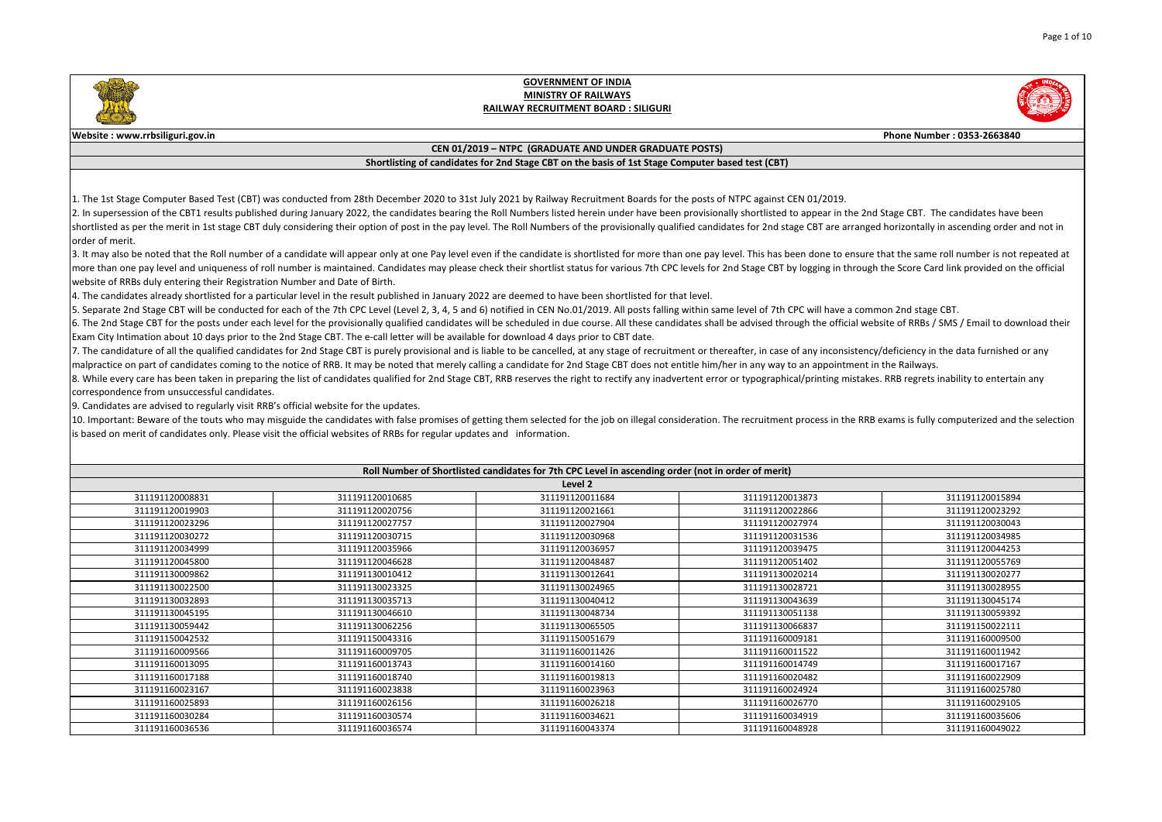|                                                                                     | Phone Number: 0353-2663840                                                                                                                                                                                                                                          |
|-------------------------------------------------------------------------------------|---------------------------------------------------------------------------------------------------------------------------------------------------------------------------------------------------------------------------------------------------------------------|
|                                                                                     |                                                                                                                                                                                                                                                                     |
|                                                                                     |                                                                                                                                                                                                                                                                     |
|                                                                                     |                                                                                                                                                                                                                                                                     |
| EN 01/2019.                                                                         | appear in the 2nd Stage CBT. The candidates have been<br>ge CBT are arranged horizontally in ascending order and not in<br>en done to ensure that the same roll number is not repeated at                                                                           |
|                                                                                     | Iogging in through the Score Card link provided on the official                                                                                                                                                                                                     |
| <sup>2</sup> C will have a common 2nd stage CBT.<br>an appointment in the Railways. | ugh the official website of RRBs / SMS / Email to download their<br>f any inconsistency/deficiency in the data furnished or any<br>al/printing mistakes. RRB regrets inability to entertain any<br>process in the RRB exams is fully computerized and the selection |
|                                                                                     |                                                                                                                                                                                                                                                                     |
|                                                                                     |                                                                                                                                                                                                                                                                     |
| 13873                                                                               | 311191120015894                                                                                                                                                                                                                                                     |
| 2866                                                                                | 311191120023292                                                                                                                                                                                                                                                     |
| 27974                                                                               | 311191120030043                                                                                                                                                                                                                                                     |
| 31536                                                                               | 311191120034985                                                                                                                                                                                                                                                     |
| 39475                                                                               | 311191120044253                                                                                                                                                                                                                                                     |
| 51402                                                                               | 311191120055769                                                                                                                                                                                                                                                     |
| 20214                                                                               | 311191130020277                                                                                                                                                                                                                                                     |
| 28721                                                                               | 311191130028955                                                                                                                                                                                                                                                     |
| 13639                                                                               | 311191130045174                                                                                                                                                                                                                                                     |
| 51138                                                                               | 311191130059392                                                                                                                                                                                                                                                     |
| 56837                                                                               | 311191150022111                                                                                                                                                                                                                                                     |
| )9181                                                                               | 311191160009500                                                                                                                                                                                                                                                     |
| 1522                                                                                | 311191160011942                                                                                                                                                                                                                                                     |
| 14749                                                                               | 311191160017167                                                                                                                                                                                                                                                     |
| 20482                                                                               | 311191160022909                                                                                                                                                                                                                                                     |
| 24924                                                                               | 311191160025780                                                                                                                                                                                                                                                     |
|                                                                                     |                                                                                                                                                                                                                                                                     |
| 26770                                                                               | 311191160029105                                                                                                                                                                                                                                                     |
| 34919<br>18978                                                                      | 311191160035606<br>311191160049022                                                                                                                                                                                                                                  |

1. The 1st Stage Computer Based Test (CBT) was conducted from 28th December 2020 to 31st July 2021 by Railway Recruitment Boards for the posts of NTPC against CE 2. In supersession of the CBT1 results published during January 2022, the candidates bearing the Roll Numbers listed herein under have been provisionally shortlisted to shortlisted as per the merit in 1st stage CBT duly considering their option of post in the pay level. The Roll Numbers of the provisionally qualified candidates for 2nd stag order of merit.

3. It may also be noted that the Roll number of a candidate will appear only at one Pay level even if the candidate is shortlisted for more than one pay level. This has bee more than one pay level and uniqueness of roll number is maintained. Candidates may please check their shortlist status for various 7th CPC levels for 2nd Stage CBT by website of RRBs duly entering their Registration Number and Date of Birth.

5. Separate 2nd Stage CBT will be conducted for each of the 7th CPC Level (Level 2, 3, 4, 5 and 6) notified in CEN No.01/2019. All posts falling within same level of 7th CP 6. The 2nd Stage CBT for the posts under each level for the provisionally qualified candidates will be scheduled in due course. All these candidates shall be advised throu Exam City Intimation about 10 days prior to the 2nd Stage CBT. The e-call letter will be available for download 4 days prior to CBT date.

7. The candidature of all the qualified candidates for 2nd Stage CBT is purely provisional and is liable to be cancelled, at any stage of recruitment or thereafter, in case of  $\vert$ malpractice on part of candidates coming to the notice of RRB. It may be noted that merely calling a candidate for 2nd Stage CBT does not entitle him/her in any way to 8. While every care has been taken in preparing the list of candidates qualified for 2nd Stage CBT, RRB reserves the right to rectify any inadvertent error or typographica correspondence from unsuccessful candidates.

10. Important: Beware of the touts who may misguide the candidates with false promises of getting them selected for the job on illegal consideration. The recruitment is based on merit of candidates only. Please visit the official websites of RRBs for regular updates and information.

| Roll Number of Shortlisted candidates for 7th CPC Level in ascending order (not in order of merit) |                 |                 |                 |                 |  |  |
|----------------------------------------------------------------------------------------------------|-----------------|-----------------|-----------------|-----------------|--|--|
|                                                                                                    | Level 2         |                 |                 |                 |  |  |
| 311191120008831                                                                                    | 311191120010685 | 311191120011684 | 311191120013873 | 311191120015894 |  |  |
| 311191120019903                                                                                    | 311191120020756 | 311191120021661 | 311191120022866 | 311191120023292 |  |  |
| 311191120023296                                                                                    | 311191120027757 | 311191120027904 | 311191120027974 | 311191120030043 |  |  |
| 311191120030272                                                                                    | 311191120030715 | 311191120030968 | 311191120031536 | 311191120034985 |  |  |
| 311191120034999                                                                                    | 311191120035966 | 311191120036957 | 311191120039475 | 311191120044253 |  |  |
| 311191120045800                                                                                    | 311191120046628 | 311191120048487 | 311191120051402 | 311191120055769 |  |  |
| 311191130009862                                                                                    | 311191130010412 | 311191130012641 | 311191130020214 | 311191130020277 |  |  |
| 311191130022500                                                                                    | 311191130023325 | 311191130024965 | 311191130028721 | 311191130028955 |  |  |
| 311191130032893                                                                                    | 311191130035713 | 311191130040412 | 311191130043639 | 311191130045174 |  |  |
| 311191130045195                                                                                    | 311191130046610 | 311191130048734 | 311191130051138 | 311191130059392 |  |  |
| 311191130059442                                                                                    | 311191130062256 | 311191130065505 | 311191130066837 | 311191150022111 |  |  |
| 311191150042532                                                                                    | 311191150043316 | 311191150051679 | 311191160009181 | 311191160009500 |  |  |
| 311191160009566                                                                                    | 311191160009705 | 311191160011426 | 311191160011522 | 311191160011942 |  |  |
| 311191160013095                                                                                    | 311191160013743 | 311191160014160 | 311191160014749 | 311191160017167 |  |  |
| 311191160017188                                                                                    | 311191160018740 | 311191160019813 | 311191160020482 | 311191160022909 |  |  |
| 311191160023167                                                                                    | 311191160023838 | 311191160023963 | 311191160024924 | 311191160025780 |  |  |
| 311191160025893                                                                                    | 311191160026156 | 311191160026218 | 311191160026770 | 311191160029105 |  |  |
| 311191160030284                                                                                    | 311191160030574 | 311191160034621 | 311191160034919 | 311191160035606 |  |  |
| 311191160036536                                                                                    | 311191160036574 | 311191160043374 | 311191160048928 | 311191160049022 |  |  |

4. The candidates already shortlisted for a particular level in the result published in January 2022 are deemed to have been shortlisted for that level.

9. Candidates are advised to regularly visit RRB's official website for the updates.



#### **GOVERNMENT OF INDIA MINISTRY OF RAILWAYS RAILWAY RECRUITMENT BOARD : SILIGURI**

#### **Website : www.rrbsiliguri.gov.in**

#### **CEN 01/2019 – NTPC (GRADUATE AND UNDER GRADUATE POSTS)**

#### **Shortlisting of candidates for 2nd Stage CBT on the basis of 1st Stage Computer based test (CBT)**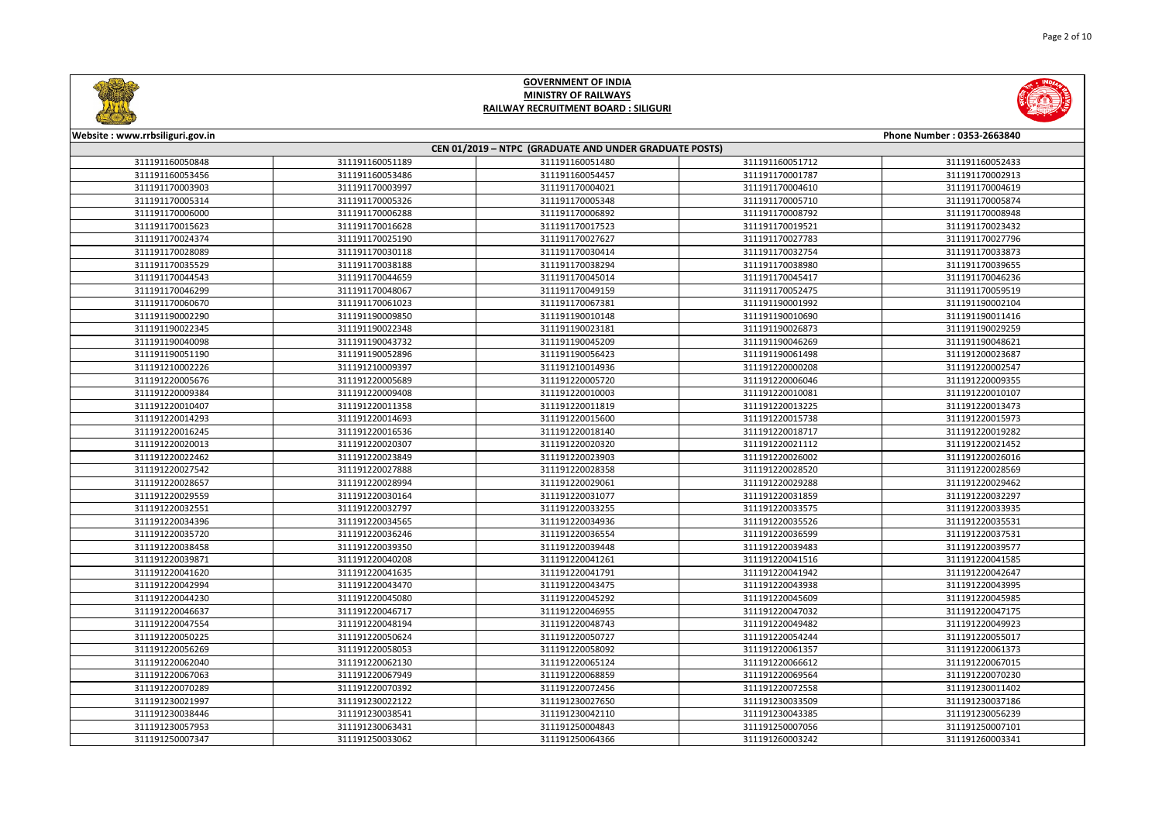



| Website: www.rrbsiliguri.gov.in |                 |                                                        |                 | Phone Number: 0353-2663840 |
|---------------------------------|-----------------|--------------------------------------------------------|-----------------|----------------------------|
|                                 |                 | CEN 01/2019 - NTPC (GRADUATE AND UNDER GRADUATE POSTS) |                 |                            |
| 311191160050848                 | 311191160051189 | 311191160051480                                        | 311191160051712 | 311191160052433            |
| 311191160053456                 | 311191160053486 | 311191160054457                                        | 311191170001787 | 311191170002913            |
| 311191170003903                 | 311191170003997 | 311191170004021                                        | 311191170004610 | 311191170004619            |
| 311191170005314                 | 311191170005326 | 311191170005348                                        | 311191170005710 | 311191170005874            |
| 311191170006000                 | 311191170006288 | 311191170006892                                        | 311191170008792 | 311191170008948            |
| 311191170015623                 | 311191170016628 | 311191170017523                                        | 311191170019521 | 311191170023432            |
| 311191170024374                 | 311191170025190 | 311191170027627                                        | 311191170027783 | 311191170027796            |
| 311191170028089                 | 311191170030118 | 311191170030414                                        | 311191170032754 | 311191170033873            |
| 311191170035529                 | 311191170038188 | 311191170038294                                        | 311191170038980 | 311191170039655            |
| 311191170044543                 | 311191170044659 | 311191170045014                                        | 311191170045417 | 311191170046236            |
| 311191170046299                 | 311191170048067 | 311191170049159                                        | 311191170052475 | 311191170059519            |
| 311191170060670                 | 311191170061023 | 311191170067381                                        | 311191190001992 | 311191190002104            |
| 311191190002290                 | 311191190009850 | 311191190010148                                        | 311191190010690 | 311191190011416            |
| 311191190022345                 | 311191190022348 | 311191190023181                                        | 311191190026873 | 311191190029259            |
| 311191190040098                 | 311191190043732 | 311191190045209                                        | 311191190046269 | 311191190048621            |
| 311191190051190                 | 311191190052896 | 311191190056423                                        | 311191190061498 | 311191200023687            |
| 311191210002226                 | 311191210009397 | 311191210014936                                        | 311191220000208 | 311191220002547            |
| 311191220005676                 | 311191220005689 | 311191220005720                                        | 311191220006046 | 311191220009355            |
| 311191220009384                 | 311191220009408 | 311191220010003                                        | 311191220010081 | 311191220010107            |
| 311191220010407                 | 311191220011358 | 311191220011819                                        | 311191220013225 | 311191220013473            |
| 311191220014293                 | 311191220014693 | 311191220015600                                        | 311191220015738 | 311191220015973            |
| 311191220016245                 | 311191220016536 | 311191220018140                                        | 311191220018717 | 311191220019282            |
| 311191220020013                 | 311191220020307 | 311191220020320                                        | 311191220021112 | 311191220021452            |
| 311191220022462                 | 311191220023849 | 311191220023903                                        | 311191220026002 | 311191220026016            |
| 311191220027542                 | 311191220027888 | 311191220028358                                        | 311191220028520 | 311191220028569            |
| 311191220028657                 | 311191220028994 | 311191220029061                                        | 311191220029288 | 311191220029462            |
| 311191220029559                 | 311191220030164 | 311191220031077                                        | 311191220031859 | 311191220032297            |
| 311191220032551                 | 311191220032797 | 311191220033255                                        | 311191220033575 | 311191220033935            |
| 311191220034396                 | 311191220034565 | 311191220034936                                        | 311191220035526 | 311191220035531            |
| 311191220035720                 | 311191220036246 | 311191220036554                                        | 311191220036599 | 311191220037531            |
| 311191220038458                 | 311191220039350 | 311191220039448                                        | 311191220039483 | 311191220039577            |
| 311191220039871                 | 311191220040208 | 311191220041261                                        | 311191220041516 | 311191220041585            |
| 311191220041620                 | 311191220041635 | 311191220041791                                        | 311191220041942 | 311191220042647            |
| 311191220042994                 | 311191220043470 | 311191220043475                                        | 311191220043938 | 311191220043995            |
| 311191220044230                 | 311191220045080 | 311191220045292                                        | 311191220045609 | 311191220045985            |
| 311191220046637                 | 311191220046717 | 311191220046955                                        | 311191220047032 | 311191220047175            |
| 311191220047554                 | 311191220048194 | 311191220048743                                        | 311191220049482 | 311191220049923            |
| 311191220050225                 | 311191220050624 | 311191220050727                                        | 311191220054244 | 311191220055017            |
| 311191220056269                 | 311191220058053 | 311191220058092                                        | 311191220061357 | 311191220061373            |
| 311191220062040                 | 311191220062130 | 311191220065124                                        | 311191220066612 | 311191220067015            |
| 311191220067063                 | 311191220067949 | 311191220068859                                        | 311191220069564 | 311191220070230            |
| 311191220070289                 | 311191220070392 | 311191220072456                                        | 311191220072558 | 311191230011402            |
| 311191230021997                 | 311191230022122 | 311191230027650                                        | 311191230033509 | 311191230037186            |
| 311191230038446                 | 311191230038541 | 311191230042110                                        | 311191230043385 | 311191230056239            |
| 311191230057953                 | 311191230063431 | 311191250004843                                        | 311191250007056 | 311191250007101            |
| 311191250007347                 | 311191250033062 | 311191250064366                                        | 311191260003242 | 311191260003341            |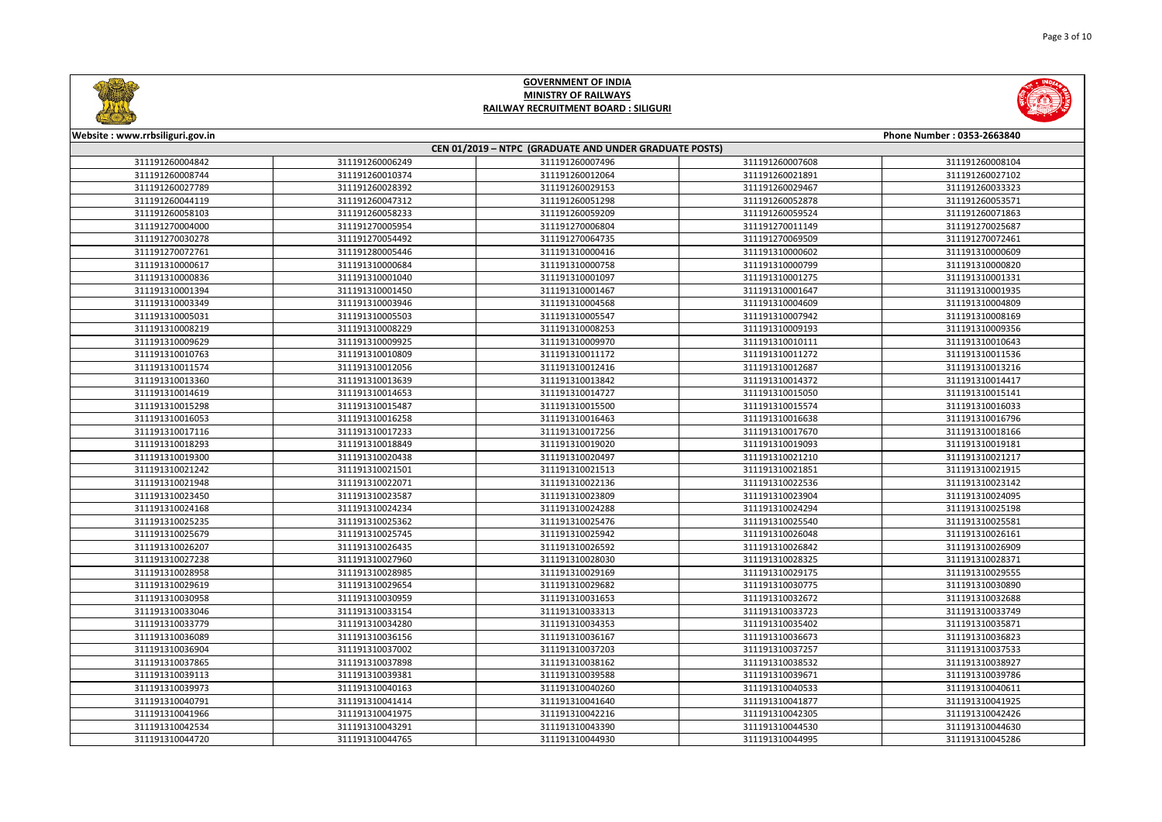



| <b>CHIMNEY AND INCOME.</b>      |                                                        |                 |                 |                            |  |  |
|---------------------------------|--------------------------------------------------------|-----------------|-----------------|----------------------------|--|--|
| Website: www.rrbsiliguri.gov.in |                                                        |                 |                 | Phone Number: 0353-2663840 |  |  |
|                                 | CEN 01/2019 - NTPC (GRADUATE AND UNDER GRADUATE POSTS) |                 |                 |                            |  |  |
| 311191260004842                 | 311191260006249                                        | 311191260007496 | 311191260007608 | 311191260008104            |  |  |
| 311191260008744                 | 311191260010374                                        | 311191260012064 | 311191260021891 | 311191260027102            |  |  |
| 311191260027789                 | 311191260028392                                        | 311191260029153 | 311191260029467 | 311191260033323            |  |  |
| 311191260044119                 | 311191260047312                                        | 311191260051298 | 311191260052878 | 311191260053571            |  |  |
| 311191260058103                 | 311191260058233                                        | 311191260059209 | 311191260059524 | 311191260071863            |  |  |
| 311191270004000                 | 311191270005954                                        | 311191270006804 | 311191270011149 | 311191270025687            |  |  |
| 311191270030278                 | 311191270054492                                        | 311191270064735 | 311191270069509 | 311191270072461            |  |  |
| 311191270072761                 | 311191280005446                                        | 311191310000416 | 311191310000602 | 311191310000609            |  |  |
| 311191310000617                 | 311191310000684                                        | 311191310000758 | 311191310000799 | 311191310000820            |  |  |
| 311191310000836                 | 311191310001040                                        | 311191310001097 | 311191310001275 | 311191310001331            |  |  |
| 311191310001394                 | 311191310001450                                        | 311191310001467 | 311191310001647 | 311191310001935            |  |  |
| 311191310003349                 | 311191310003946                                        | 311191310004568 | 311191310004609 | 311191310004809            |  |  |
| 311191310005031                 | 311191310005503                                        | 311191310005547 | 311191310007942 | 311191310008169            |  |  |
| 311191310008219                 | 311191310008229                                        | 311191310008253 | 311191310009193 | 311191310009356            |  |  |
| 311191310009629                 | 311191310009925                                        | 311191310009970 | 311191310010111 | 311191310010643            |  |  |
| 311191310010763                 | 311191310010809                                        | 311191310011172 | 311191310011272 | 311191310011536            |  |  |
| 311191310011574                 | 311191310012056                                        | 311191310012416 | 311191310012687 | 311191310013216            |  |  |
| 311191310013360                 | 311191310013639                                        | 311191310013842 | 311191310014372 | 311191310014417            |  |  |
| 311191310014619                 | 311191310014653                                        | 311191310014727 | 311191310015050 | 311191310015141            |  |  |
| 311191310015298                 | 311191310015487                                        | 311191310015500 | 311191310015574 | 311191310016033            |  |  |
| 311191310016053                 | 311191310016258                                        | 311191310016463 | 311191310016638 | 311191310016796            |  |  |
| 311191310017116                 | 311191310017233                                        | 311191310017256 | 311191310017670 | 311191310018166            |  |  |
| 311191310018293                 | 311191310018849                                        | 311191310019020 | 311191310019093 | 311191310019181            |  |  |
| 311191310019300                 | 311191310020438                                        | 311191310020497 | 311191310021210 | 311191310021217            |  |  |
| 311191310021242                 | 311191310021501                                        | 311191310021513 | 311191310021851 | 311191310021915            |  |  |
| 311191310021948                 | 311191310022071                                        | 311191310022136 | 311191310022536 | 311191310023142            |  |  |
| 311191310023450                 | 311191310023587                                        | 311191310023809 | 311191310023904 | 311191310024095            |  |  |
| 311191310024168                 | 311191310024234                                        | 311191310024288 | 311191310024294 | 311191310025198            |  |  |
| 311191310025235                 | 311191310025362                                        | 311191310025476 | 311191310025540 | 311191310025581            |  |  |
| 311191310025679                 | 311191310025745                                        | 311191310025942 | 311191310026048 | 311191310026161            |  |  |
| 311191310026207                 | 311191310026435                                        | 311191310026592 | 311191310026842 | 311191310026909            |  |  |
| 311191310027238                 | 311191310027960                                        | 311191310028030 | 311191310028325 | 311191310028371            |  |  |
| 311191310028958                 | 311191310028985                                        | 311191310029169 | 311191310029175 | 311191310029555            |  |  |
| 311191310029619                 | 311191310029654                                        | 311191310029682 | 311191310030775 | 311191310030890            |  |  |
| 311191310030958                 | 311191310030959                                        | 311191310031653 | 311191310032672 | 311191310032688            |  |  |
| 311191310033046                 | 311191310033154                                        | 311191310033313 | 311191310033723 | 311191310033749            |  |  |
| 311191310033779                 | 311191310034280                                        | 311191310034353 | 311191310035402 | 311191310035871            |  |  |
| 311191310036089                 | 311191310036156                                        | 311191310036167 | 311191310036673 | 311191310036823            |  |  |
| 311191310036904                 | 311191310037002                                        | 311191310037203 | 311191310037257 | 311191310037533            |  |  |
| 311191310037865                 | 311191310037898                                        | 311191310038162 | 311191310038532 | 311191310038927            |  |  |
| 311191310039113                 | 311191310039381                                        | 311191310039588 | 311191310039671 | 311191310039786            |  |  |
| 311191310039973                 | 311191310040163                                        | 311191310040260 | 311191310040533 | 311191310040611            |  |  |
| 311191310040791                 | 311191310041414                                        | 311191310041640 | 311191310041877 | 311191310041925            |  |  |
| 311191310041966                 | 311191310041975                                        | 311191310042216 | 311191310042305 | 311191310042426            |  |  |
| 311191310042534                 | 311191310043291                                        | 311191310043390 | 311191310044530 | 311191310044630            |  |  |
| 311191310044720                 | 311191310044765                                        | 311191310044930 | 311191310044995 | 311191310045286            |  |  |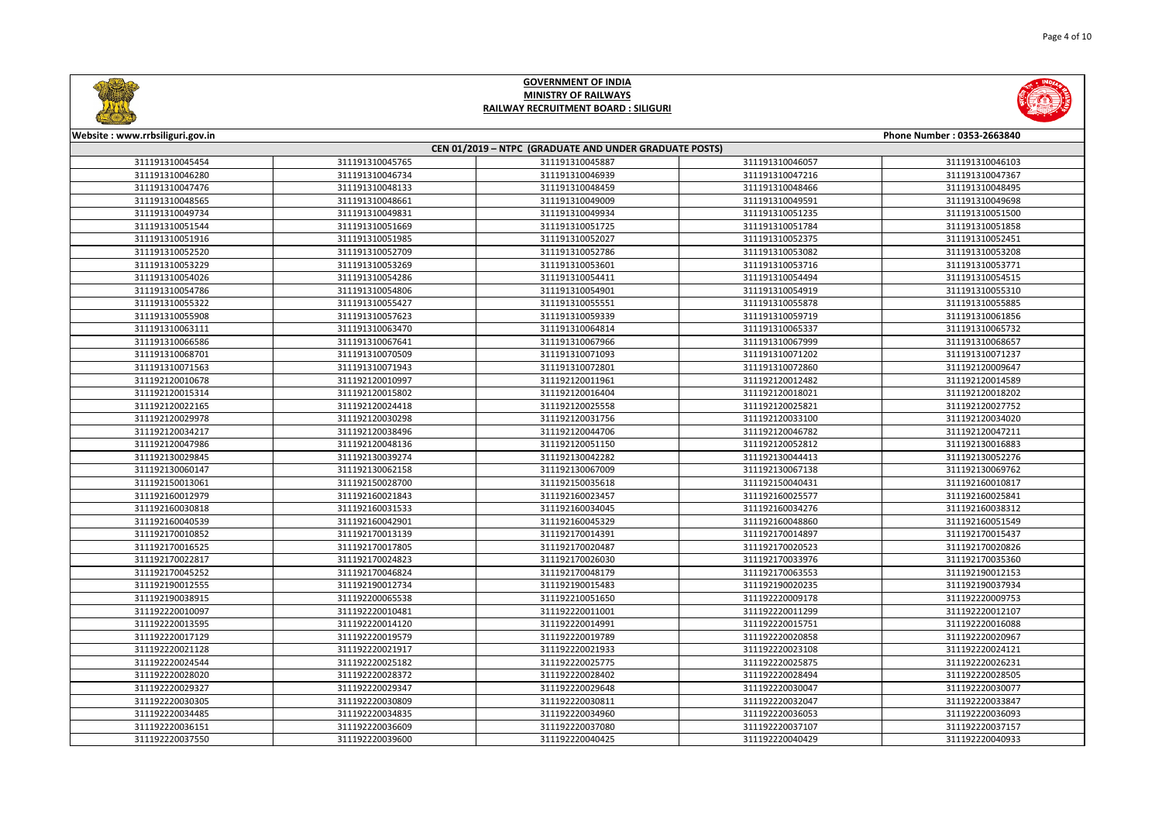



| Website: www.rrbsiliguri.gov.in |                 |                                                        |                 | Phone Number: 0353-2663840 |
|---------------------------------|-----------------|--------------------------------------------------------|-----------------|----------------------------|
|                                 |                 | CEN 01/2019 - NTPC (GRADUATE AND UNDER GRADUATE POSTS) |                 |                            |
| 311191310045454                 | 311191310045765 | 311191310045887                                        | 311191310046057 | 311191310046103            |
| 311191310046280                 | 311191310046734 | 311191310046939                                        | 311191310047216 | 311191310047367            |
| 311191310047476                 | 311191310048133 | 311191310048459                                        | 311191310048466 | 311191310048495            |
| 311191310048565                 | 311191310048661 | 311191310049009                                        | 311191310049591 | 311191310049698            |
| 311191310049734                 | 311191310049831 | 311191310049934                                        | 311191310051235 | 311191310051500            |
| 311191310051544                 | 311191310051669 | 311191310051725                                        | 311191310051784 | 311191310051858            |
| 311191310051916                 | 311191310051985 | 311191310052027                                        | 311191310052375 | 311191310052451            |
| 311191310052520                 | 311191310052709 | 311191310052786                                        | 311191310053082 | 311191310053208            |
| 311191310053229                 | 311191310053269 | 311191310053601                                        | 311191310053716 | 311191310053771            |
| 311191310054026                 | 311191310054286 | 311191310054411                                        | 311191310054494 | 311191310054515            |
| 311191310054786                 | 311191310054806 | 311191310054901                                        | 311191310054919 | 311191310055310            |
| 311191310055322                 | 311191310055427 | 311191310055551                                        | 311191310055878 | 311191310055885            |
| 311191310055908                 | 311191310057623 | 311191310059339                                        | 311191310059719 | 311191310061856            |
| 311191310063111                 | 311191310063470 | 311191310064814                                        | 311191310065337 | 311191310065732            |
| 311191310066586                 | 311191310067641 | 311191310067966                                        | 311191310067999 | 311191310068657            |
| 311191310068701                 | 311191310070509 | 311191310071093                                        | 311191310071202 | 311191310071237            |
| 311191310071563                 | 311191310071943 | 311191310072801                                        | 311191310072860 | 311192120009647            |
| 311192120010678                 | 311192120010997 | 311192120011961                                        | 311192120012482 | 311192120014589            |
| 311192120015314                 | 311192120015802 | 311192120016404                                        | 311192120018021 | 311192120018202            |
| 311192120022165                 | 311192120024418 | 311192120025558                                        | 311192120025821 | 311192120027752            |
| 311192120029978                 | 311192120030298 | 311192120031756                                        | 311192120033100 | 311192120034020            |
| 311192120034217                 | 311192120038496 | 311192120044706                                        | 311192120046782 | 311192120047211            |
| 311192120047986                 | 311192120048136 | 311192120051150                                        | 311192120052812 | 311192130016883            |
| 311192130029845                 | 311192130039274 | 311192130042282                                        | 311192130044413 | 311192130052276            |
| 311192130060147                 | 311192130062158 | 311192130067009                                        | 311192130067138 | 311192130069762            |
| 311192150013061                 | 311192150028700 | 311192150035618                                        | 311192150040431 | 311192160010817            |
| 311192160012979                 | 311192160021843 | 311192160023457                                        | 311192160025577 | 311192160025841            |
| 311192160030818                 | 311192160031533 | 311192160034045                                        | 311192160034276 | 311192160038312            |
| 311192160040539                 | 311192160042901 | 311192160045329                                        | 311192160048860 | 311192160051549            |
| 311192170010852                 | 311192170013139 | 311192170014391                                        | 311192170014897 | 311192170015437            |
| 311192170016525                 | 311192170017805 | 311192170020487                                        | 311192170020523 | 311192170020826            |
| 311192170022817                 | 311192170024823 | 311192170026030                                        | 311192170033976 | 311192170035360            |
| 311192170045252                 | 311192170046824 | 311192170048179                                        | 311192170063553 | 311192190012153            |
| 311192190012555                 | 311192190012734 | 311192190015483                                        | 311192190020235 | 311192190037934            |
| 311192190038915                 | 311192200065538 | 311192210051650                                        | 311192220009178 | 311192220009753            |
| 311192220010097                 | 311192220010481 | 311192220011001                                        | 311192220011299 | 311192220012107            |
| 311192220013595                 | 311192220014120 | 311192220014991                                        | 311192220015751 | 311192220016088            |
| 311192220017129                 | 311192220019579 | 311192220019789                                        | 311192220020858 | 311192220020967            |
| 311192220021128                 | 311192220021917 | 311192220021933                                        | 311192220023108 | 311192220024121            |
| 311192220024544                 | 311192220025182 | 311192220025775                                        | 311192220025875 | 311192220026231            |
| 311192220028020                 | 311192220028372 | 311192220028402                                        | 311192220028494 | 311192220028505            |
| 311192220029327                 | 311192220029347 | 311192220029648                                        | 311192220030047 | 311192220030077            |
| 311192220030305                 | 311192220030809 | 311192220030811                                        | 311192220032047 | 311192220033847            |
| 311192220034485                 | 311192220034835 | 311192220034960                                        | 311192220036053 | 311192220036093            |
| 311192220036151                 | 311192220036609 | 311192220037080                                        | 311192220037107 | 311192220037157            |
| 311192220037550                 | 311192220039600 | 311192220040425                                        | 311192220040429 | 311192220040933            |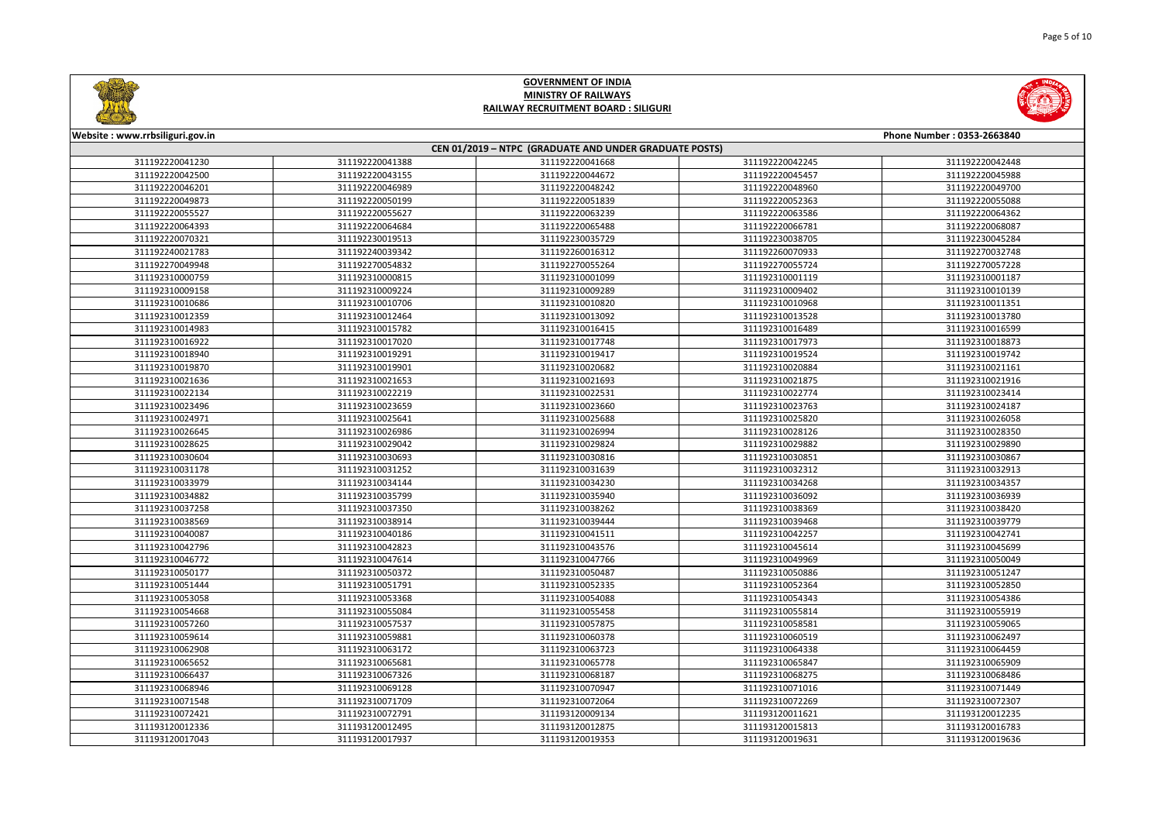



| Website: www.rrbsiliguri.gov.in |                 |                                                        |                 | Phone Number: 0353-2663840 |
|---------------------------------|-----------------|--------------------------------------------------------|-----------------|----------------------------|
|                                 |                 | CEN 01/2019 - NTPC (GRADUATE AND UNDER GRADUATE POSTS) |                 |                            |
| 311192220041230                 | 311192220041388 | 311192220041668                                        | 311192220042245 | 311192220042448            |
| 311192220042500                 | 311192220043155 | 311192220044672                                        | 311192220045457 | 311192220045988            |
| 311192220046201                 | 311192220046989 | 311192220048242                                        | 311192220048960 | 311192220049700            |
| 311192220049873                 | 311192220050199 | 311192220051839                                        | 311192220052363 | 311192220055088            |
| 311192220055527                 | 311192220055627 | 311192220063239                                        | 311192220063586 | 311192220064362            |
| 311192220064393                 | 311192220064684 | 311192220065488                                        | 311192220066781 | 311192220068087            |
| 311192220070321                 | 311192230019513 | 311192230035729                                        | 311192230038705 | 311192230045284            |
| 311192240021783                 | 311192240039342 | 311192260016312                                        | 311192260070933 | 311192270032748            |
| 311192270049948                 | 311192270054832 | 311192270055264                                        | 311192270055724 | 311192270057228            |
| 311192310000759                 | 311192310000815 | 311192310001099                                        | 311192310001119 | 311192310001187            |
| 311192310009158                 | 311192310009224 | 311192310009289                                        | 311192310009402 | 311192310010139            |
| 311192310010686                 | 311192310010706 | 311192310010820                                        | 311192310010968 | 311192310011351            |
| 311192310012359                 | 311192310012464 | 311192310013092                                        | 311192310013528 | 311192310013780            |
| 311192310014983                 | 311192310015782 | 311192310016415                                        | 311192310016489 | 311192310016599            |
| 311192310016922                 | 311192310017020 | 311192310017748                                        | 311192310017973 | 311192310018873            |
| 311192310018940                 | 311192310019291 | 311192310019417                                        | 311192310019524 | 311192310019742            |
| 311192310019870                 | 311192310019901 | 311192310020682                                        | 311192310020884 | 311192310021161            |
| 311192310021636                 | 311192310021653 | 311192310021693                                        | 311192310021875 | 311192310021916            |
| 311192310022134                 | 311192310022219 | 311192310022531                                        | 311192310022774 | 311192310023414            |
| 311192310023496                 | 311192310023659 | 311192310023660                                        | 311192310023763 | 311192310024187            |
| 311192310024971                 | 311192310025641 | 311192310025688                                        | 311192310025820 | 311192310026058            |
| 311192310026645                 | 311192310026986 | 311192310026994                                        | 311192310028126 | 311192310028350            |
| 311192310028625                 | 311192310029042 | 311192310029824                                        | 311192310029882 | 311192310029890            |
| 311192310030604                 | 311192310030693 | 311192310030816                                        | 311192310030851 | 311192310030867            |
| 311192310031178                 | 311192310031252 | 311192310031639                                        | 311192310032312 | 311192310032913            |
| 311192310033979                 | 311192310034144 | 311192310034230                                        | 311192310034268 | 311192310034357            |
| 311192310034882                 | 311192310035799 | 311192310035940                                        | 311192310036092 | 311192310036939            |
| 311192310037258                 | 311192310037350 | 311192310038262                                        | 311192310038369 | 311192310038420            |
| 311192310038569                 | 311192310038914 | 311192310039444                                        | 311192310039468 | 311192310039779            |
| 311192310040087                 | 311192310040186 | 311192310041511                                        | 311192310042257 | 311192310042741            |
| 311192310042796                 | 311192310042823 | 311192310043576                                        | 311192310045614 | 311192310045699            |
| 311192310046772                 | 311192310047614 | 311192310047766                                        | 311192310049969 | 311192310050049            |
| 311192310050177                 | 311192310050372 | 311192310050487                                        | 311192310050886 | 311192310051247            |
| 311192310051444                 | 311192310051791 | 311192310052335                                        | 311192310052364 | 311192310052850            |
| 311192310053058                 | 311192310053368 | 311192310054088                                        | 311192310054343 | 311192310054386            |
| 311192310054668                 | 311192310055084 | 311192310055458                                        | 311192310055814 | 311192310055919            |
| 311192310057260                 | 311192310057537 | 311192310057875                                        | 311192310058581 | 311192310059065            |
| 311192310059614                 | 311192310059881 | 311192310060378                                        | 311192310060519 | 311192310062497            |
| 311192310062908                 | 311192310063172 | 311192310063723                                        | 311192310064338 | 311192310064459            |
| 311192310065652                 | 311192310065681 | 311192310065778                                        | 311192310065847 | 311192310065909            |
| 311192310066437                 | 311192310067326 | 311192310068187                                        | 311192310068275 | 311192310068486            |
| 311192310068946                 | 311192310069128 | 311192310070947                                        | 311192310071016 | 311192310071449            |
| 311192310071548                 | 311192310071709 | 311192310072064                                        | 311192310072269 | 311192310072307            |
| 311192310072421                 | 311192310072791 | 311193120009134                                        | 311193120011621 | 311193120012235            |
| 311193120012336                 | 311193120012495 | 311193120012875                                        | 311193120015813 | 311193120016783            |
| 311193120017043                 | 311193120017937 | 311193120019353                                        | 311193120019631 | 311193120019636            |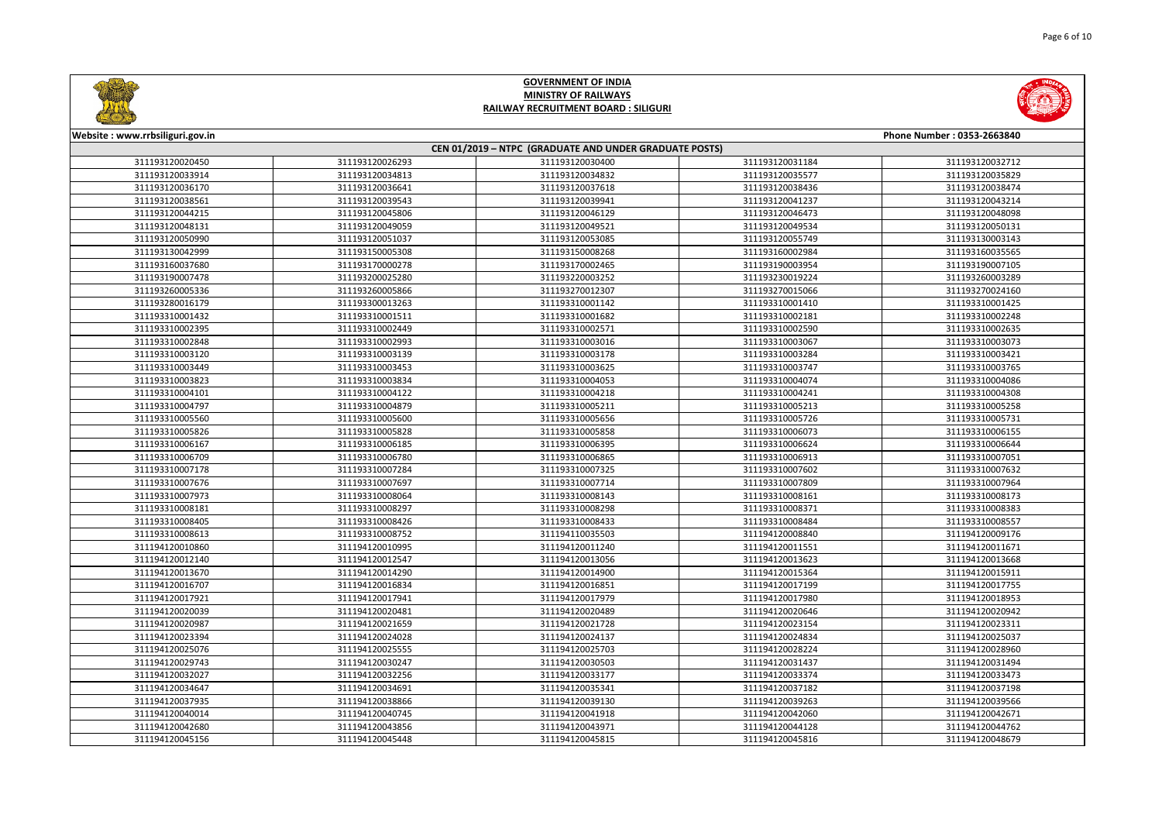



| <b>CONTRACTOR</b>                |                 |                                                        |                 |                            |
|----------------------------------|-----------------|--------------------------------------------------------|-----------------|----------------------------|
| Website : www.rrbsiliguri.gov.in |                 |                                                        |                 | Phone Number: 0353-2663840 |
|                                  |                 | CEN 01/2019 - NTPC (GRADUATE AND UNDER GRADUATE POSTS) |                 |                            |
| 311193120020450                  | 311193120026293 | 311193120030400                                        | 311193120031184 | 311193120032712            |
| 311193120033914                  | 311193120034813 | 311193120034832                                        | 311193120035577 | 311193120035829            |
| 311193120036170                  | 311193120036641 | 311193120037618                                        | 311193120038436 | 311193120038474            |
| 311193120038561                  | 311193120039543 | 311193120039941                                        | 311193120041237 | 311193120043214            |
| 311193120044215                  | 311193120045806 | 311193120046129                                        | 311193120046473 | 311193120048098            |
| 311193120048131                  | 311193120049059 | 311193120049521                                        | 311193120049534 | 311193120050131            |
| 311193120050990                  | 311193120051037 | 311193120053085                                        | 311193120055749 | 311193130003143            |
| 311193130042999                  | 311193150005308 | 311193150008268                                        | 311193160002984 | 311193160035565            |
| 311193160037680                  | 311193170000278 | 311193170002465                                        | 311193190003954 | 311193190007105            |
| 311193190007478                  | 311193200025280 | 311193220003252                                        | 311193230019224 | 311193260003289            |
| 311193260005336                  | 311193260005866 | 311193270012307                                        | 311193270015066 | 311193270024160            |
| 311193280016179                  | 311193300013263 | 311193310001142                                        | 311193310001410 | 311193310001425            |
| 311193310001432                  | 311193310001511 | 311193310001682                                        | 311193310002181 | 311193310002248            |
| 311193310002395                  | 311193310002449 | 311193310002571                                        | 311193310002590 | 311193310002635            |
| 311193310002848                  | 311193310002993 | 311193310003016                                        | 311193310003067 | 311193310003073            |
| 311193310003120                  | 311193310003139 | 311193310003178                                        | 311193310003284 | 311193310003421            |
| 311193310003449                  | 311193310003453 | 311193310003625                                        | 311193310003747 | 311193310003765            |
| 311193310003823                  | 311193310003834 | 311193310004053                                        | 311193310004074 | 311193310004086            |
| 311193310004101                  | 311193310004122 | 311193310004218                                        | 311193310004241 | 311193310004308            |
| 311193310004797                  | 311193310004879 | 311193310005211                                        | 311193310005213 | 311193310005258            |
| 311193310005560                  | 311193310005600 | 311193310005656                                        | 311193310005726 | 311193310005731            |
| 311193310005826                  | 311193310005828 | 311193310005858                                        | 311193310006073 | 311193310006155            |
| 311193310006167                  | 311193310006185 | 311193310006395                                        | 311193310006624 | 311193310006644            |
| 311193310006709                  | 311193310006780 | 311193310006865                                        | 311193310006913 | 311193310007051            |
| 311193310007178                  | 311193310007284 | 311193310007325                                        | 311193310007602 | 311193310007632            |
| 311193310007676                  | 311193310007697 | 311193310007714                                        | 311193310007809 | 311193310007964            |
| 311193310007973                  | 311193310008064 | 311193310008143                                        | 311193310008161 | 311193310008173            |
| 311193310008181                  | 311193310008297 | 311193310008298                                        | 311193310008371 | 311193310008383            |
| 311193310008405                  | 311193310008426 | 311193310008433                                        | 311193310008484 | 311193310008557            |
| 311193310008613                  | 311193310008752 | 311194110035503                                        | 311194120008840 | 311194120009176            |
| 311194120010860                  | 311194120010995 | 311194120011240                                        | 311194120011551 | 311194120011671            |
| 311194120012140                  | 311194120012547 | 311194120013056                                        | 311194120013623 | 311194120013668            |
| 311194120013670                  | 311194120014290 | 311194120014900                                        | 311194120015364 | 311194120015911            |
| 311194120016707                  | 311194120016834 | 311194120016851                                        | 311194120017199 | 311194120017755            |
| 311194120017921                  | 311194120017941 | 311194120017979                                        | 311194120017980 | 311194120018953            |
| 311194120020039                  | 311194120020481 | 311194120020489                                        | 311194120020646 | 311194120020942            |
| 311194120020987                  | 311194120021659 | 311194120021728                                        | 311194120023154 | 311194120023311            |
| 311194120023394                  | 311194120024028 | 311194120024137                                        | 311194120024834 | 311194120025037            |
| 311194120025076                  | 311194120025555 | 311194120025703                                        | 311194120028224 | 311194120028960            |
| 311194120029743                  | 311194120030247 | 311194120030503                                        | 311194120031437 | 311194120031494            |
| 311194120032027                  | 311194120032256 | 311194120033177                                        | 311194120033374 | 311194120033473            |
| 311194120034647                  | 311194120034691 | 311194120035341                                        | 311194120037182 | 311194120037198            |
| 311194120037935                  | 311194120038866 | 311194120039130                                        | 311194120039263 | 311194120039566            |
| 311194120040014                  | 311194120040745 | 311194120041918                                        | 311194120042060 | 311194120042671            |
| 311194120042680                  | 311194120043856 | 311194120043971                                        | 311194120044128 | 311194120044762            |
| 311194120045156                  | 311194120045448 | 311194120045815                                        | 311194120045816 | 311194120048679            |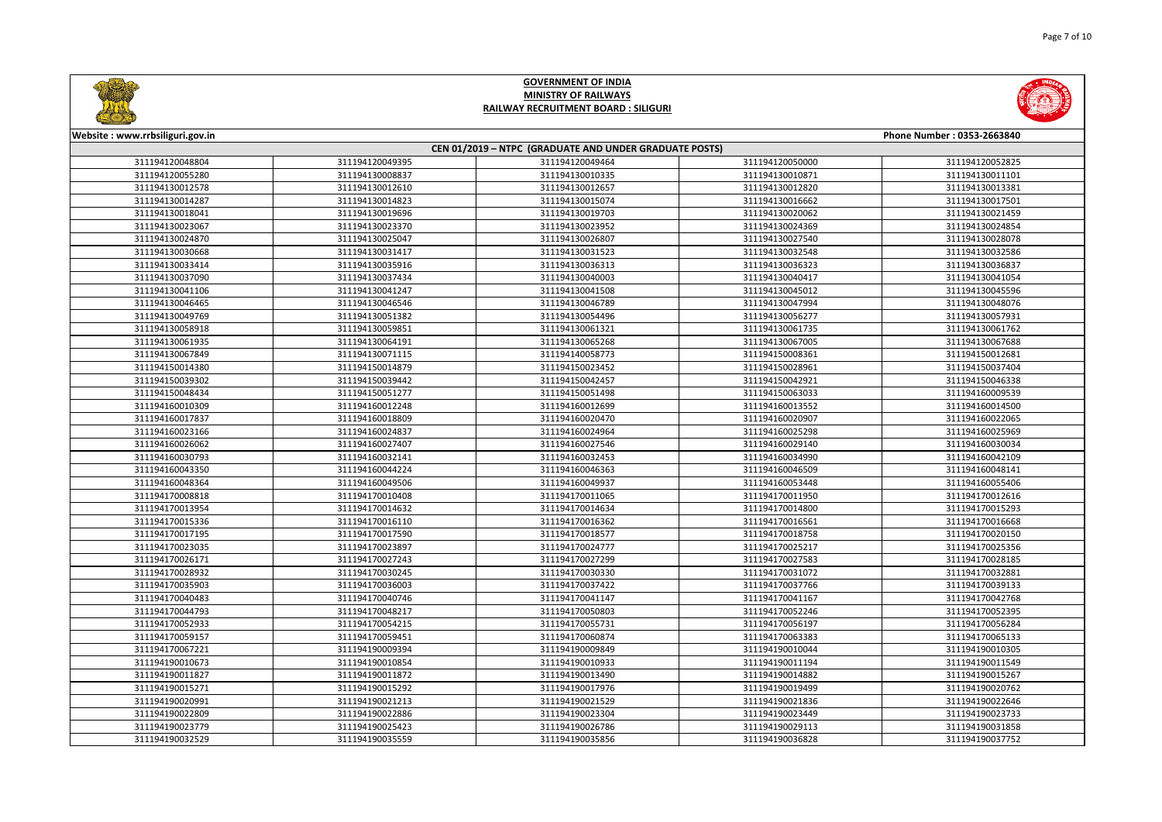



| <u>Cimarinan and the contract of the contract of the contract of the contract of the contract of the contract of the contract of the contract of the contract of the contract of the contract of the contract of the contract of</u> |                 |                                                        |                 |                            |
|--------------------------------------------------------------------------------------------------------------------------------------------------------------------------------------------------------------------------------------|-----------------|--------------------------------------------------------|-----------------|----------------------------|
| Website: www.rrbsiliguri.gov.in                                                                                                                                                                                                      |                 |                                                        |                 | Phone Number: 0353-2663840 |
|                                                                                                                                                                                                                                      |                 | CEN 01/2019 - NTPC (GRADUATE AND UNDER GRADUATE POSTS) |                 |                            |
| 311194120048804                                                                                                                                                                                                                      | 311194120049395 | 311194120049464                                        | 311194120050000 | 311194120052825            |
| 311194120055280                                                                                                                                                                                                                      | 311194130008837 | 311194130010335                                        | 311194130010871 | 311194130011101            |
| 311194130012578                                                                                                                                                                                                                      | 311194130012610 | 311194130012657                                        | 311194130012820 | 311194130013381            |
| 311194130014287                                                                                                                                                                                                                      | 311194130014823 | 311194130015074                                        | 311194130016662 | 311194130017501            |
| 311194130018041                                                                                                                                                                                                                      | 311194130019696 | 311194130019703                                        | 311194130020062 | 311194130021459            |
| 311194130023067                                                                                                                                                                                                                      | 311194130023370 | 311194130023952                                        | 311194130024369 | 311194130024854            |
| 311194130024870                                                                                                                                                                                                                      | 311194130025047 | 311194130026807                                        | 311194130027540 | 311194130028078            |
| 311194130030668                                                                                                                                                                                                                      | 311194130031417 | 311194130031523                                        | 311194130032548 | 311194130032586            |
| 311194130033414                                                                                                                                                                                                                      | 311194130035916 | 311194130036313                                        | 311194130036323 | 311194130036837            |
| 311194130037090                                                                                                                                                                                                                      | 311194130037434 | 311194130040003                                        | 311194130040417 | 311194130041054            |
| 311194130041106                                                                                                                                                                                                                      | 311194130041247 | 311194130041508                                        | 311194130045012 | 311194130045596            |
| 311194130046465                                                                                                                                                                                                                      | 311194130046546 | 311194130046789                                        | 311194130047994 | 311194130048076            |
| 311194130049769                                                                                                                                                                                                                      | 311194130051382 | 311194130054496                                        | 311194130056277 | 311194130057931            |
| 311194130058918                                                                                                                                                                                                                      | 311194130059851 | 311194130061321                                        | 311194130061735 | 311194130061762            |
| 311194130061935                                                                                                                                                                                                                      | 311194130064191 | 311194130065268                                        | 311194130067005 | 311194130067688            |
| 311194130067849                                                                                                                                                                                                                      | 311194130071115 | 311194140058773                                        | 311194150008361 | 311194150012681            |
| 311194150014380                                                                                                                                                                                                                      | 311194150014879 | 311194150023452                                        | 311194150028961 | 311194150037404            |
| 311194150039302                                                                                                                                                                                                                      | 311194150039442 | 311194150042457                                        | 311194150042921 | 311194150046338            |
| 311194150048434                                                                                                                                                                                                                      | 311194150051277 | 311194150051498                                        | 311194150063033 | 311194160009539            |
| 311194160010309                                                                                                                                                                                                                      | 311194160012248 | 311194160012699                                        | 311194160013552 | 311194160014500            |
| 311194160017837                                                                                                                                                                                                                      | 311194160018809 | 311194160020470                                        | 311194160020907 | 311194160022065            |
| 311194160023166                                                                                                                                                                                                                      | 311194160024837 | 311194160024964                                        | 311194160025298 | 311194160025969            |
| 311194160026062                                                                                                                                                                                                                      | 311194160027407 | 311194160027546                                        | 311194160029140 | 311194160030034            |
| 311194160030793                                                                                                                                                                                                                      | 311194160032141 | 311194160032453                                        | 311194160034990 | 311194160042109            |
| 311194160043350                                                                                                                                                                                                                      | 311194160044224 | 311194160046363                                        | 311194160046509 | 311194160048141            |
| 311194160048364                                                                                                                                                                                                                      | 311194160049506 | 311194160049937                                        | 311194160053448 | 311194160055406            |
| 311194170008818                                                                                                                                                                                                                      | 311194170010408 | 311194170011065                                        | 311194170011950 | 311194170012616            |
| 311194170013954                                                                                                                                                                                                                      | 311194170014632 | 311194170014634                                        | 311194170014800 | 311194170015293            |
| 311194170015336                                                                                                                                                                                                                      | 311194170016110 | 311194170016362                                        | 311194170016561 | 311194170016668            |
| 311194170017195                                                                                                                                                                                                                      | 311194170017590 | 311194170018577                                        | 311194170018758 | 311194170020150            |
| 311194170023035                                                                                                                                                                                                                      | 311194170023897 | 311194170024777                                        | 311194170025217 | 311194170025356            |
| 311194170026171                                                                                                                                                                                                                      | 311194170027243 | 311194170027299                                        | 311194170027583 | 311194170028185            |
| 311194170028932                                                                                                                                                                                                                      | 311194170030245 | 311194170030330                                        | 311194170031072 | 311194170032881            |
| 311194170035903                                                                                                                                                                                                                      | 311194170036003 | 311194170037422                                        | 311194170037766 | 311194170039133            |
| 311194170040483                                                                                                                                                                                                                      | 311194170040746 | 311194170041147                                        | 311194170041167 | 311194170042768            |
| 311194170044793                                                                                                                                                                                                                      | 311194170048217 | 311194170050803                                        | 311194170052246 | 311194170052395            |
| 311194170052933                                                                                                                                                                                                                      | 311194170054215 | 311194170055731                                        | 311194170056197 | 311194170056284            |
| 311194170059157                                                                                                                                                                                                                      | 311194170059451 | 311194170060874                                        | 311194170063383 | 311194170065133            |
| 311194170067221                                                                                                                                                                                                                      | 311194190009394 | 311194190009849                                        | 311194190010044 | 311194190010305            |
| 311194190010673                                                                                                                                                                                                                      | 311194190010854 | 311194190010933                                        | 311194190011194 | 311194190011549            |
| 311194190011827                                                                                                                                                                                                                      | 311194190011872 | 311194190013490                                        | 311194190014882 | 311194190015267            |
| 311194190015271                                                                                                                                                                                                                      | 311194190015292 | 311194190017976                                        | 311194190019499 | 311194190020762            |
| 311194190020991                                                                                                                                                                                                                      | 311194190021213 | 311194190021529                                        | 311194190021836 | 311194190022646            |
| 311194190022809                                                                                                                                                                                                                      | 311194190022886 | 311194190023304                                        | 311194190023449 | 311194190023733            |
| 311194190023779                                                                                                                                                                                                                      | 311194190025423 | 311194190026786                                        | 311194190029113 | 311194190031858            |
| 311194190032529                                                                                                                                                                                                                      | 311194190035559 | 311194190035856                                        | 311194190036828 | 311194190037752            |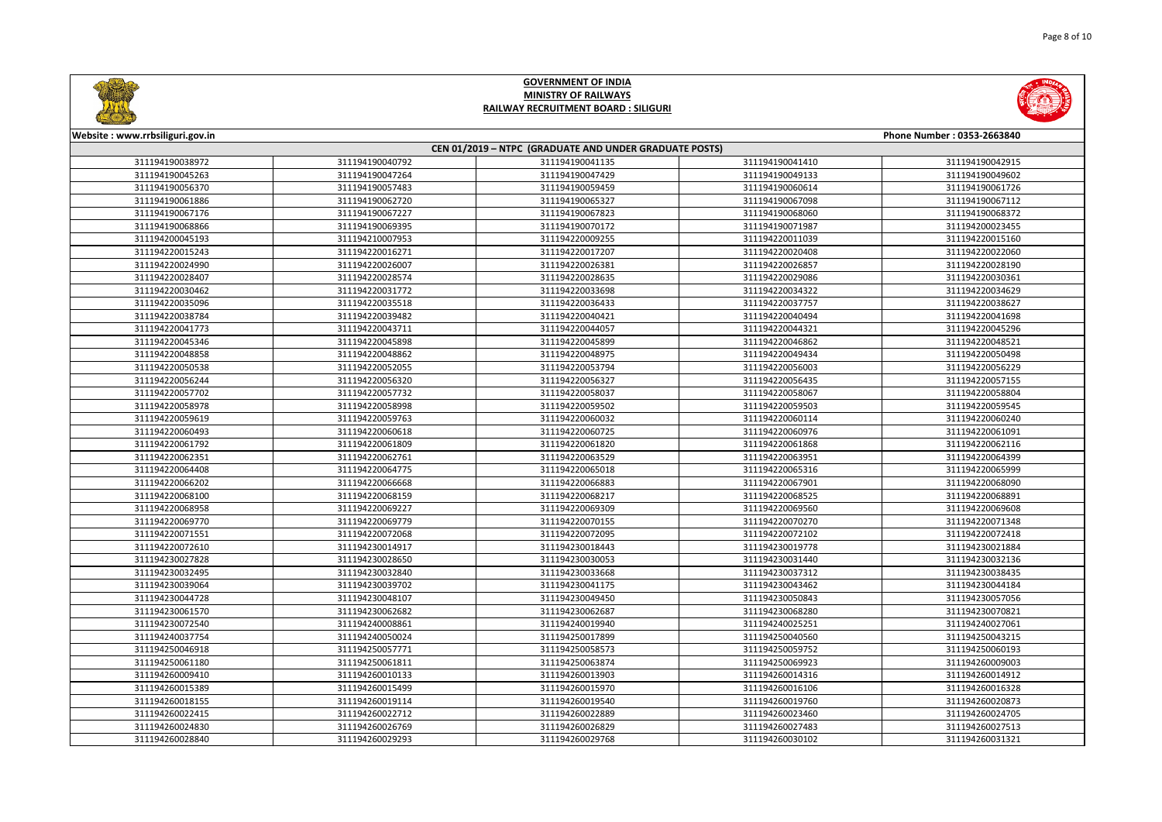



| Website: www.rrbsiliguri.gov.in |                 |                                                        |                 | Phone Number: 0353-2663840 |
|---------------------------------|-----------------|--------------------------------------------------------|-----------------|----------------------------|
|                                 |                 | CEN 01/2019 - NTPC (GRADUATE AND UNDER GRADUATE POSTS) |                 |                            |
| 311194190038972                 | 311194190040792 | 311194190041135                                        | 311194190041410 | 311194190042915            |
| 311194190045263                 | 311194190047264 | 311194190047429                                        | 311194190049133 | 311194190049602            |
| 311194190056370                 | 311194190057483 | 311194190059459                                        | 311194190060614 | 311194190061726            |
| 311194190061886                 | 311194190062720 | 311194190065327                                        | 311194190067098 | 311194190067112            |
| 311194190067176                 | 311194190067227 | 311194190067823                                        | 311194190068060 | 311194190068372            |
| 311194190068866                 | 311194190069395 | 311194190070172                                        | 311194190071987 | 311194200023455            |
| 311194200045193                 | 311194210007953 | 311194220009255                                        | 311194220011039 | 311194220015160            |
| 311194220015243                 | 311194220016271 | 311194220017207                                        | 311194220020408 | 311194220022060            |
| 311194220024990                 | 311194220026007 | 311194220026381                                        | 311194220026857 | 311194220028190            |
| 311194220028407                 | 311194220028574 | 311194220028635                                        | 311194220029086 | 311194220030361            |
| 311194220030462                 | 311194220031772 | 311194220033698                                        | 311194220034322 | 311194220034629            |
| 311194220035096                 | 311194220035518 | 311194220036433                                        | 311194220037757 | 311194220038627            |
| 311194220038784                 | 311194220039482 | 311194220040421                                        | 311194220040494 | 311194220041698            |
| 311194220041773                 | 311194220043711 | 311194220044057                                        | 311194220044321 | 311194220045296            |
| 311194220045346                 | 311194220045898 | 311194220045899                                        | 311194220046862 | 311194220048521            |
| 311194220048858                 | 311194220048862 | 311194220048975                                        | 311194220049434 | 311194220050498            |
| 311194220050538                 | 311194220052055 | 311194220053794                                        | 311194220056003 | 311194220056229            |
| 311194220056244                 | 311194220056320 | 311194220056327                                        | 311194220056435 | 311194220057155            |
| 311194220057702                 | 311194220057732 | 311194220058037                                        | 311194220058067 | 311194220058804            |
| 311194220058978                 | 311194220058998 | 311194220059502                                        | 311194220059503 | 311194220059545            |
| 311194220059619                 | 311194220059763 | 311194220060032                                        | 311194220060114 | 311194220060240            |
| 311194220060493                 | 311194220060618 | 311194220060725                                        | 311194220060976 | 311194220061091            |
| 311194220061792                 | 311194220061809 | 311194220061820                                        | 311194220061868 | 311194220062116            |
| 311194220062351                 | 311194220062761 | 311194220063529                                        | 311194220063951 | 311194220064399            |
| 311194220064408                 | 311194220064775 | 311194220065018                                        | 311194220065316 | 311194220065999            |
| 311194220066202                 | 311194220066668 | 311194220066883                                        | 311194220067901 | 311194220068090            |
| 311194220068100                 | 311194220068159 | 311194220068217                                        | 311194220068525 | 311194220068891            |
| 311194220068958                 | 311194220069227 | 311194220069309                                        | 311194220069560 | 311194220069608            |
| 311194220069770                 | 311194220069779 | 311194220070155                                        | 311194220070270 | 311194220071348            |
| 311194220071551                 | 311194220072068 | 311194220072095                                        | 311194220072102 | 311194220072418            |
| 311194220072610                 | 311194230014917 | 311194230018443                                        | 311194230019778 | 311194230021884            |
| 311194230027828                 | 311194230028650 | 311194230030053                                        | 311194230031440 | 311194230032136            |
| 311194230032495                 | 311194230032840 | 311194230033668                                        | 311194230037312 | 311194230038435            |
| 311194230039064                 | 311194230039702 | 311194230041175                                        | 311194230043462 | 311194230044184            |
| 311194230044728                 | 311194230048107 | 311194230049450                                        | 311194230050843 | 311194230057056            |
| 311194230061570                 | 311194230062682 | 311194230062687                                        | 311194230068280 | 311194230070821            |
| 311194230072540                 | 311194240008861 | 311194240019940                                        | 311194240025251 | 311194240027061            |
| 311194240037754                 | 311194240050024 | 311194250017899                                        | 311194250040560 | 311194250043215            |
| 311194250046918                 | 311194250057771 | 311194250058573                                        | 311194250059752 | 311194250060193            |
| 311194250061180                 | 311194250061811 | 311194250063874                                        | 311194250069923 | 311194260009003            |
| 311194260009410                 | 311194260010133 | 311194260013903                                        | 311194260014316 | 311194260014912            |
| 311194260015389                 | 311194260015499 | 311194260015970                                        | 311194260016106 | 311194260016328            |
| 311194260018155                 | 311194260019114 | 311194260019540                                        | 311194260019760 | 311194260020873            |
| 311194260022415                 | 311194260022712 | 311194260022889                                        | 311194260023460 | 311194260024705            |
| 311194260024830                 | 311194260026769 | 311194260026829                                        | 311194260027483 | 311194260027513            |
| 311194260028840                 | 311194260029293 | 311194260029768                                        | 311194260030102 | 311194260031321            |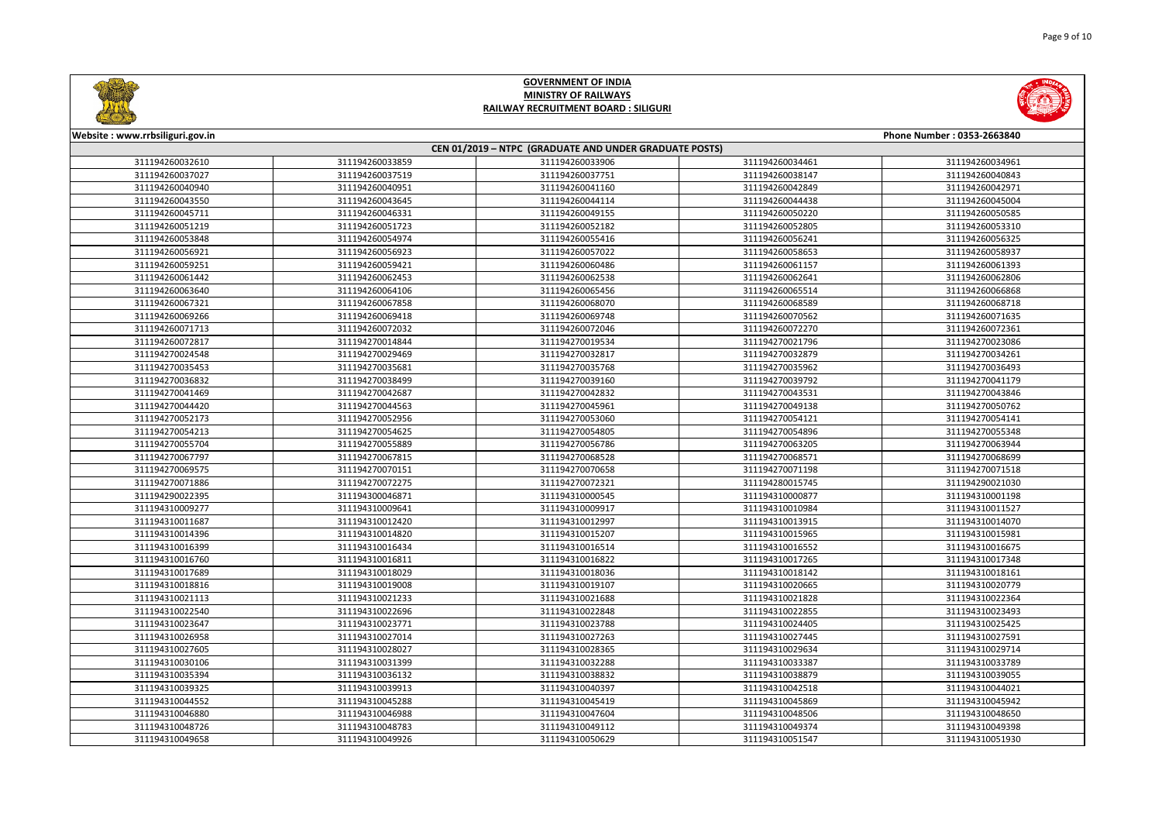| <b>IND</b>              |  |
|-------------------------|--|
| e Number : 0353-2663840 |  |
|                         |  |
| 311194260034961         |  |
| 311194260040843         |  |
| 311194260042971         |  |
| 311194260045004         |  |
| 311194260050585         |  |
| 311194260053310         |  |
| 311194260056325         |  |
| 311194260058937         |  |
| 311194260061393         |  |
| 311194260062806         |  |
| 311194260066868         |  |
| 311194260068718         |  |
| 311194260071635         |  |
| 311194260072361         |  |
| 311194270023086         |  |
| 311194270034261         |  |
| 311194270036493         |  |
| 311194270041179         |  |
|                         |  |



| Website: www.rrbsiliguri.gov.in |                 |                                                        |                 | Phone Number: 0353-2663840 |
|---------------------------------|-----------------|--------------------------------------------------------|-----------------|----------------------------|
|                                 |                 | CEN 01/2019 - NTPC (GRADUATE AND UNDER GRADUATE POSTS) |                 |                            |
| 311194260032610                 | 311194260033859 | 311194260033906                                        | 311194260034461 | 311194260034961            |
| 311194260037027                 | 311194260037519 | 311194260037751                                        | 311194260038147 | 311194260040843            |
| 311194260040940                 | 311194260040951 | 311194260041160                                        | 311194260042849 | 311194260042971            |
| 311194260043550                 | 311194260043645 | 311194260044114                                        | 311194260044438 | 311194260045004            |
| 311194260045711                 | 311194260046331 | 311194260049155                                        | 311194260050220 | 311194260050585            |
| 311194260051219                 | 311194260051723 | 311194260052182                                        | 311194260052805 | 311194260053310            |
| 311194260053848                 | 311194260054974 | 311194260055416                                        | 311194260056241 | 311194260056325            |
| 311194260056921                 | 311194260056923 | 311194260057022                                        | 311194260058653 | 311194260058937            |
| 311194260059251                 | 311194260059421 | 311194260060486                                        | 311194260061157 | 311194260061393            |
| 311194260061442                 | 311194260062453 | 311194260062538                                        | 311194260062641 | 311194260062806            |
| 311194260063640                 | 311194260064106 | 311194260065456                                        | 311194260065514 | 311194260066868            |
| 311194260067321                 | 311194260067858 | 311194260068070                                        | 311194260068589 | 311194260068718            |
| 311194260069266                 | 311194260069418 | 311194260069748                                        | 311194260070562 | 311194260071635            |
| 311194260071713                 | 311194260072032 | 311194260072046                                        | 311194260072270 | 311194260072361            |
| 311194260072817                 | 311194270014844 | 311194270019534                                        | 311194270021796 | 311194270023086            |
| 311194270024548                 | 311194270029469 | 311194270032817                                        | 311194270032879 | 311194270034261            |
| 311194270035453                 | 311194270035681 | 311194270035768                                        | 311194270035962 | 311194270036493            |
| 311194270036832                 | 311194270038499 | 311194270039160                                        | 311194270039792 | 311194270041179            |
| 311194270041469                 | 311194270042687 | 311194270042832                                        | 311194270043531 | 311194270043846            |
| 311194270044420                 | 311194270044563 | 311194270045961                                        | 311194270049138 | 311194270050762            |
| 311194270052173                 | 311194270052956 | 311194270053060                                        | 311194270054121 | 311194270054141            |
| 311194270054213                 | 311194270054625 | 311194270054805                                        | 311194270054896 | 311194270055348            |
| 311194270055704                 | 311194270055889 | 311194270056786                                        | 311194270063205 | 311194270063944            |
| 311194270067797                 | 311194270067815 | 311194270068528                                        | 311194270068571 | 311194270068699            |
| 311194270069575                 | 311194270070151 | 311194270070658                                        | 311194270071198 | 311194270071518            |
| 311194270071886                 | 311194270072275 | 311194270072321                                        | 311194280015745 | 311194290021030            |
| 311194290022395                 | 311194300046871 | 311194310000545                                        | 311194310000877 | 311194310001198            |
| 311194310009277                 | 311194310009641 | 311194310009917                                        | 311194310010984 | 311194310011527            |
| 311194310011687                 | 311194310012420 | 311194310012997                                        | 311194310013915 | 311194310014070            |
| 311194310014396                 | 311194310014820 | 311194310015207                                        | 311194310015965 | 311194310015981            |
| 311194310016399                 | 311194310016434 | 311194310016514                                        | 311194310016552 | 311194310016675            |
| 311194310016760                 | 311194310016811 | 311194310016822                                        | 311194310017265 | 311194310017348            |
| 311194310017689                 | 311194310018029 | 311194310018036                                        | 311194310018142 | 311194310018161            |
| 311194310018816                 | 311194310019008 | 311194310019107                                        | 311194310020665 | 311194310020779            |
| 311194310021113                 | 311194310021233 | 311194310021688                                        | 311194310021828 | 311194310022364            |
| 311194310022540                 | 311194310022696 | 311194310022848                                        | 311194310022855 | 311194310023493            |
| 311194310023647                 | 311194310023771 | 311194310023788                                        | 311194310024405 | 311194310025425            |
| 311194310026958                 | 311194310027014 | 311194310027263                                        | 311194310027445 | 311194310027591            |
| 311194310027605                 | 311194310028027 | 311194310028365                                        | 311194310029634 | 311194310029714            |
| 311194310030106                 | 311194310031399 | 311194310032288                                        | 311194310033387 | 311194310033789            |
| 311194310035394                 | 311194310036132 | 311194310038832                                        | 311194310038879 | 311194310039055            |
| 311194310039325                 | 311194310039913 | 311194310040397                                        | 311194310042518 | 311194310044021            |
| 311194310044552                 | 311194310045288 | 311194310045419                                        | 311194310045869 | 311194310045942            |
| 311194310046880                 | 311194310046988 | 311194310047604                                        | 311194310048506 | 311194310048650            |
| 311194310048726                 | 311194310048783 | 311194310049112                                        | 311194310049374 | 311194310049398            |
| 311194310049658                 | 311194310049926 | 311194310050629                                        | 311194310051547 | 311194310051930            |